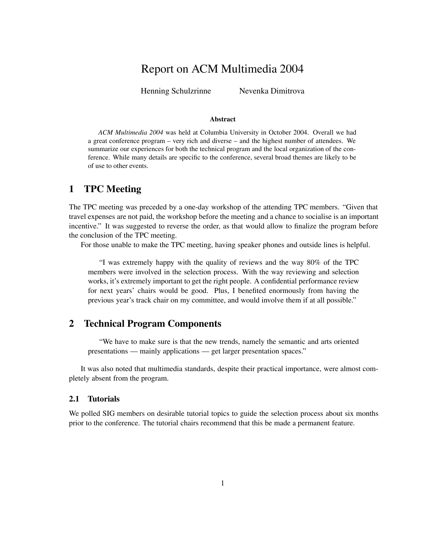# Report on ACM Multimedia 2004

Henning Schulzrinne Nevenka Dimitrova

#### **Abstract**

*ACM Multimedia 2004* was held at Columbia University in October 2004. Overall we had a great conference program – very rich and diverse – and the highest number of attendees. We summarize our experiences for both the technical program and the local organization of the conference. While many details are specific to the conference, several broad themes are likely to be of use to other events.

# **1 TPC Meeting**

The TPC meeting was preceded by a one-day workshop of the attending TPC members. "Given that travel expenses are not paid, the workshop before the meeting and a chance to socialise is an important incentive." It was suggested to reverse the order, as that would allow to finalize the program before the conclusion of the TPC meeting.

For those unable to make the TPC meeting, having speaker phones and outside lines is helpful.

"I was extremely happy with the quality of reviews and the way 80% of the TPC members were involved in the selection process. With the way reviewing and selection works, it's extremely important to get the right people. A confidential performance review for next years' chairs would be good. Plus, I benefited enormously from having the previous year's track chair on my committee, and would involve them if at all possible."

# **2 Technical Program Components**

"We have to make sure is that the new trends, namely the semantic and arts oriented presentations — mainly applications — get larger presentation spaces."

It was also noted that multimedia standards, despite their practical importance, were almost completely absent from the program.

## **2.1 Tutorials**

We polled SIG members on desirable tutorial topics to guide the selection process about six months prior to the conference. The tutorial chairs recommend that this be made a permanent feature.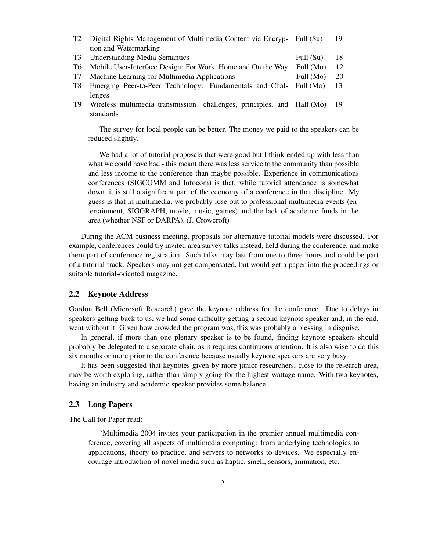| T2 | Digital Rights Management of Multimedia Content via Encryp- Full (Su) |           | 19 |
|----|-----------------------------------------------------------------------|-----------|----|
|    | tion and Watermarking                                                 |           |    |
|    | T3 Understanding Media Semantics                                      | Full (Su) | 18 |
|    | T6 Mobile User-Interface Design: For Work, Home and On the Way        | Full (Mo) | 12 |
| T7 | Machine Learning for Multimedia Applications                          | Full (Mo) | 20 |
| T8 | Emerging Peer-to-Peer Technology: Fundamentals and Chal- Full (Mo)    |           | 13 |
|    | lenges                                                                |           |    |

T9 Wireless multimedia transmission challenges, principles, and Half (Mo) 19 standards

The survey for local people can be better. The money we paid to the speakers can be reduced slightly.

We had a lot of tutorial proposals that were good but I think ended up with less than what we could have had - this meant there was less service to the community than possible and less income to the conference than maybe possible. Experience in communications conferences (SIGCOMM and Infocom) is that, while tutorial attendance is somewhat down, it is still a significant part of the economy of a conference in that discipline. My guess is that in multimedia, we probably lose out to professional multimedia events (entertainment, SIGGRAPH, movie, music, games) and the lack of academic funds in the area (whether NSF or DARPA). (J. Crowcroft)

During the ACM business meeting, proposals for alternative tutorial models were discussed. For example, conferences could try invited area survey talks instead, held during the conference, and make them part of conference registration. Such talks may last from one to three hours and could be part of a tutorial track. Speakers may not get compensated, but would get a paper into the proceedings or suitable tutorial-oriented magazine.

#### **2.2 Keynote Address**

Gordon Bell (Microsoft Research) gave the keynote address for the conference. Due to delays in speakers getting back to us, we had some difficulty getting a second keynote speaker and, in the end, went without it. Given how crowded the program was, this was probably a blessing in disguise.

In general, if more than one plenary speaker is to be found, finding keynote speakers should probably be delegated to a separate chair, as it requires continuous attention. It is also wise to do this six months or more prior to the conference because usually keynote speakers are very busy.

It has been suggested that keynotes given by more junior researchers, close to the research area, may be worth exploring, rather than simply going for the highest wattage name. With two keynotes, having an industry and academic speaker provides some balance.

### **2.3 Long Papers**

The Call for Paper read:

"Multimedia 2004 invites your participation in the premier annual multimedia conference, covering all aspects of multimedia computing: from underlying technologies to applications, theory to practice, and servers to networks to devices. We especially encourage introduction of novel media such as haptic, smell, sensors, animation, etc.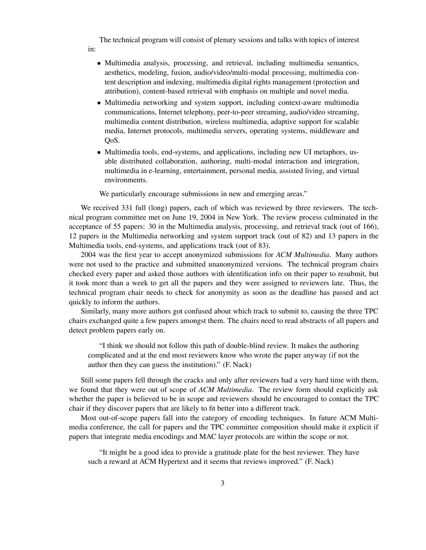The technical program will consist of plenary sessions and talks with topics of interest in:

- Multimedia analysis, processing, and retrieval, including multimedia semantics, aesthetics, modeling, fusion, audio/video/multi-modal processing, multimedia content description and indexing, multimedia digital rights management (protection and attribution), content-based retrieval with emphasis on multiple and novel media.
- Multimedia networking and system support, including context-aware multimedia communications, Internet telephony, peer-to-peer streaming, audio/video streaming, multimedia content distribution, wireless multimedia, adaptive support for scalable media, Internet protocols, multimedia servers, operating systems, middleware and QoS.
- Multimedia tools, end-systems, and applications, including new UI metaphors, usable distributed collaboration, authoring, multi-modal interaction and integration, multimedia in e-learning, entertainment, personal media, assisted living, and virtual environments.

We particularly encourage submissions in new and emerging areas."

We received 331 full (long) papers, each of which was reviewed by three reviewers. The technical program committee met on June 19, 2004 in New York. The review process culminated in the acceptance of 55 papers: 30 in the Multimedia analysis, processing, and retrieval track (out of 166), 12 papers in the Multimedia networking and system support track (out of 82) and 13 papers in the Multimedia tools, end-systems, and applications track (out of 83).

2004 was the first year to accept anonymized submissions for *ACM Multimedia*. Many authors were not used to the practice and submitted unanonymized versions. The technical program chairs checked every paper and asked those authors with identification info on their paper to resubmit, but it took more than a week to get all the papers and they were assigned to reviewers late. Thus, the technical program chair needs to check for anonymity as soon as the deadline has passed and act quickly to inform the authors.

Similarly, many more authors got confused about which track to submit to, causing the three TPC chairs exchanged quite a few papers amongst them. The chairs need to read abstracts of all papers and detect problem papers early on.

"I think we should not follow this path of double-blind review. It makes the authoring complicated and at the end most reviewers know who wrote the paper anyway (if not the author then they can guess the institution)." (F. Nack)

Still some papers fell through the cracks and only after reviewers had a very hard time with them, we found that they were out of scope of *ACM Multimedia*. The review form should explicitly ask whether the paper is believed to be in scope and reviewers should be encouraged to contact the TPC chair if they discover papers that are likely to fit better into a different track.

Most out-of-scope papers fall into the category of encoding techniques. In future ACM Multimedia conference, the call for papers and the TPC committee composition should make it explicit if papers that integrate media encodings and MAC layer protocols are within the scope or not.

"It might be a good idea to provide a gratitude plate for the best reviewer. They have such a reward at ACM Hypertext and it seems that reviews improved." (F. Nack)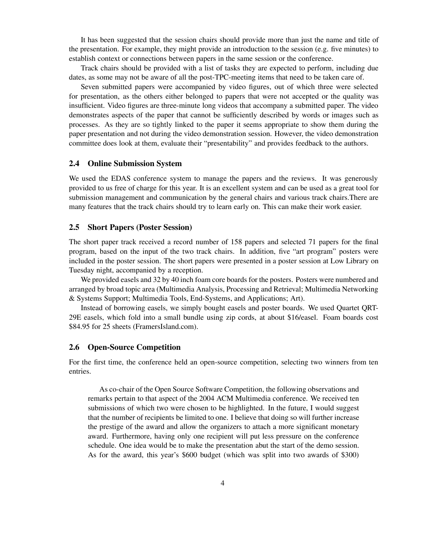It has been suggested that the session chairs should provide more than just the name and title of the presentation. For example, they might provide an introduction to the session (e.g. five minutes) to establish context or connections between papers in the same session or the conference.

Track chairs should be provided with a list of tasks they are expected to perform, including due dates, as some may not be aware of all the post-TPC-meeting items that need to be taken care of.

Seven submitted papers were accompanied by video figures, out of which three were selected for presentation, as the others either belonged to papers that were not accepted or the quality was insufficient. Video figures are three-minute long videos that accompany a submitted paper. The video demonstrates aspects of the paper that cannot be sufficiently described by words or images such as processes. As they are so tightly linked to the paper it seems appropriate to show them during the paper presentation and not during the video demonstration session. However, the video demonstration committee does look at them, evaluate their "presentability" and provides feedback to the authors.

#### **2.4 Online Submission System**

We used the EDAS conference system to manage the papers and the reviews. It was generously provided to us free of charge for this year. It is an excellent system and can be used as a great tool for submission management and communication by the general chairs and various track chairs.There are many features that the track chairs should try to learn early on. This can make their work easier.

#### **2.5 Short Papers (Poster Session)**

The short paper track received a record number of 158 papers and selected 71 papers for the final program, based on the input of the two track chairs. In addition, five "art program" posters were included in the poster session. The short papers were presented in a poster session at Low Library on Tuesday night, accompanied by a reception.

We provided easels and 32 by 40 inch foam core boards for the posters. Posters were numbered and arranged by broad topic area (Multimedia Analysis, Processing and Retrieval; Multimedia Networking & Systems Support; Multimedia Tools, End-Systems, and Applications; Art).

Instead of borrowing easels, we simply bought easels and poster boards. We used Quartet QRT-29E easels, which fold into a small bundle using zip cords, at about \$16/easel. Foam boards cost \$84.95 for 25 sheets (FramersIsland.com).

#### **2.6 Open-Source Competition**

For the first time, the conference held an open-source competition, selecting two winners from ten entries.

As co-chair of the Open Source Software Competition, the following observations and remarks pertain to that aspect of the 2004 ACM Multimedia conference. We received ten submissions of which two were chosen to be highlighted. In the future, I would suggest that the number of recipients be limited to one. I believe that doing so will further increase the prestige of the award and allow the organizers to attach a more significant monetary award. Furthermore, having only one recipient will put less pressure on the conference schedule. One idea would be to make the presentation abut the start of the demo session. As for the award, this year's \$600 budget (which was split into two awards of \$300)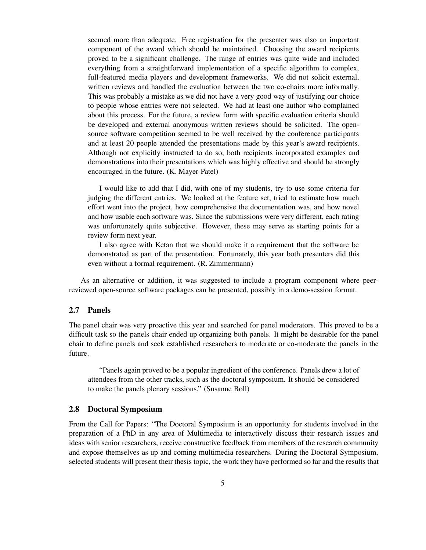seemed more than adequate. Free registration for the presenter was also an important component of the award which should be maintained. Choosing the award recipients proved to be a significant challenge. The range of entries was quite wide and included everything from a straightforward implementation of a specific algorithm to complex, full-featured media players and development frameworks. We did not solicit external, written reviews and handled the evaluation between the two co-chairs more informally. This was probably a mistake as we did not have a very good way of justifying our choice to people whose entries were not selected. We had at least one author who complained about this process. For the future, a review form with specific evaluation criteria should be developed and external anonymous written reviews should be solicited. The opensource software competition seemed to be well received by the conference participants and at least 20 people attended the presentations made by this year's award recipients. Although not explicitly instructed to do so, both recipients incorporated examples and demonstrations into their presentations which was highly effective and should be strongly encouraged in the future. (K. Mayer-Patel)

I would like to add that I did, with one of my students, try to use some criteria for judging the different entries. We looked at the feature set, tried to estimate how much effort went into the project, how comprehensive the documentation was, and how novel and how usable each software was. Since the submissions were very different, each rating was unfortunately quite subjective. However, these may serve as starting points for a review form next year.

I also agree with Ketan that we should make it a requirement that the software be demonstrated as part of the presentation. Fortunately, this year both presenters did this even without a formal requirement. (R. Zimmermann)

As an alternative or addition, it was suggested to include a program component where peerreviewed open-source software packages can be presented, possibly in a demo-session format.

## **2.7 Panels**

The panel chair was very proactive this year and searched for panel moderators. This proved to be a difficult task so the panels chair ended up organizing both panels. It might be desirable for the panel chair to define panels and seek established researchers to moderate or co-moderate the panels in the future.

"Panels again proved to be a popular ingredient of the conference. Panels drew a lot of attendees from the other tracks, such as the doctoral symposium. It should be considered to make the panels plenary sessions." (Susanne Boll)

#### **2.8 Doctoral Symposium**

From the Call for Papers: "The Doctoral Symposium is an opportunity for students involved in the preparation of a PhD in any area of Multimedia to interactively discuss their research issues and ideas with senior researchers, receive constructive feedback from members of the research community and expose themselves as up and coming multimedia researchers. During the Doctoral Symposium, selected students will present their thesis topic, the work they have performed so far and the results that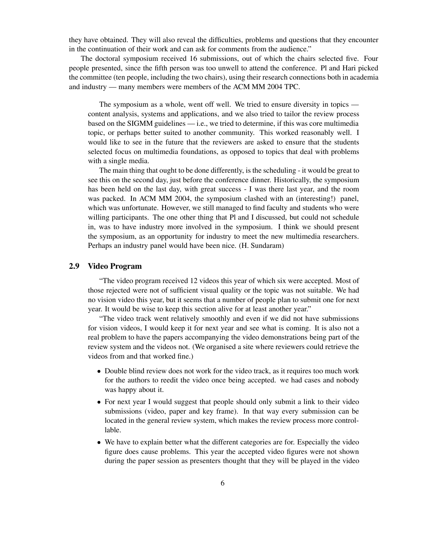they have obtained. They will also reveal the difficulties, problems and questions that they encounter in the continuation of their work and can ask for comments from the audience."

The doctoral symposium received 16 submissions, out of which the chairs selected five. Four people presented, since the fifth person was too unwell to attend the conference. Pl and Hari picked the committee (ten people, including the two chairs), using their research connections both in academia and industry — many members were members of the ACM MM 2004 TPC.

The symposium as a whole, went off well. We tried to ensure diversity in topics content analysis, systems and applications, and we also tried to tailor the review process based on the SIGMM guidelines — i.e., we tried to determine, if this was core multimedia topic, or perhaps better suited to another community. This worked reasonably well. I would like to see in the future that the reviewers are asked to ensure that the students selected focus on multimedia foundations, as opposed to topics that deal with problems with a single media.

The main thing that ought to be done differently, is the scheduling - it would be great to see this on the second day, just before the conference dinner. Historically, the symposium has been held on the last day, with great success - I was there last year, and the room was packed. In ACM MM 2004, the symposium clashed with an (interesting!) panel, which was unfortunate. However, we still managed to find faculty and students who were willing participants. The one other thing that Pl and I discussed, but could not schedule in, was to have industry more involved in the symposium. I think we should present the symposium, as an opportunity for industry to meet the new multimedia researchers. Perhaps an industry panel would have been nice. (H. Sundaram)

#### **2.9 Video Program**

"The video program received 12 videos this year of which six were accepted. Most of those rejected were not of sufficient visual quality or the topic was not suitable. We had no vision video this year, but it seems that a number of people plan to submit one for next year. It would be wise to keep this section alive for at least another year."

"The video track went relatively smoothly and even if we did not have submissions for vision videos, I would keep it for next year and see what is coming. It is also not a real problem to have the papers accompanying the video demonstrations being part of the review system and the videos not. (We organised a site where reviewers could retrieve the videos from and that worked fine.)

- Double blind review does not work for the video track, as it requires too much work for the authors to reedit the video once being accepted. we had cases and nobody was happy about it.
- For next year I would suggest that people should only submit a link to their video submissions (video, paper and key frame). In that way every submission can be located in the general review system, which makes the review process more controllable.
- We have to explain better what the different categories are for. Especially the video figure does cause problems. This year the accepted video figures were not shown during the paper session as presenters thought that they will be played in the video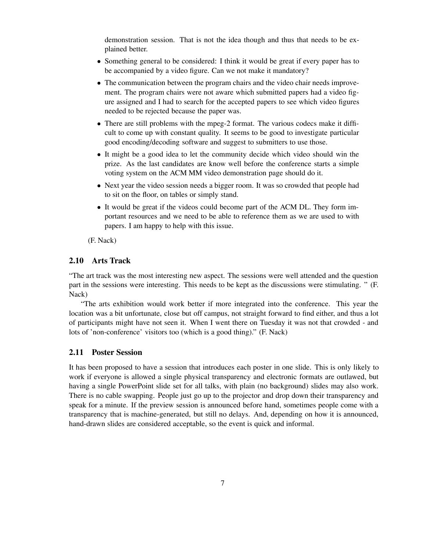demonstration session. That is not the idea though and thus that needs to be explained better.

- Something general to be considered: I think it would be great if every paper has to be accompanied by a video figure. Can we not make it mandatory?
- The communication between the program chairs and the video chair needs improvement. The program chairs were not aware which submitted papers had a video figure assigned and I had to search for the accepted papers to see which video figures needed to be rejected because the paper was.
- There are still problems with the mpeg-2 format. The various codecs make it difficult to come up with constant quality. It seems to be good to investigate particular good encoding/decoding software and suggest to submitters to use those.
- It might be a good idea to let the community decide which video should win the prize. As the last candidates are know well before the conference starts a simple voting system on the ACM MM video demonstration page should do it.
- Next year the video session needs a bigger room. It was so crowded that people had to sit on the floor, on tables or simply stand.
- It would be great if the videos could become part of the ACM DL. They form important resources and we need to be able to reference them as we are used to with papers. I am happy to help with this issue.

(F. Nack)

## **2.10 Arts Track**

"The art track was the most interesting new aspect. The sessions were well attended and the question part in the sessions were interesting. This needs to be kept as the discussions were stimulating. " (F. Nack)

"The arts exhibition would work better if more integrated into the conference. This year the location was a bit unfortunate, close but off campus, not straight forward to find either, and thus a lot of participants might have not seen it. When I went there on Tuesday it was not that crowded - and lots of 'non-conference' visitors too (which is a good thing)." (F. Nack)

# **2.11 Poster Session**

It has been proposed to have a session that introduces each poster in one slide. This is only likely to work if everyone is allowed a single physical transparency and electronic formats are outlawed, but having a single PowerPoint slide set for all talks, with plain (no background) slides may also work. There is no cable swapping. People just go up to the projector and drop down their transparency and speak for a minute. If the preview session is announced before hand, sometimes people come with a transparency that is machine-generated, but still no delays. And, depending on how it is announced, hand-drawn slides are considered acceptable, so the event is quick and informal.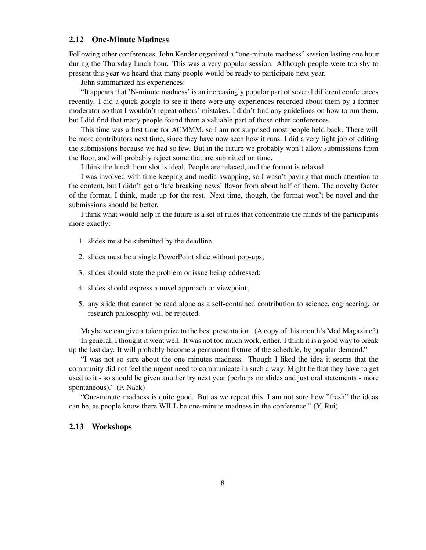# **2.12 One-Minute Madness**

Following other conferences, John Kender organized a "one-minute madness" session lasting one hour during the Thursday lunch hour. This was a very popular session. Although people were too shy to present this year we heard that many people would be ready to participate next year.

John summarized his experiences:

"It appears that 'N-minute madness' is an increasingly popular part of several different conferences recently. I did a quick google to see if there were any experiences recorded about them by a former moderator so that I wouldn't repeat others' mistakes. I didn't find any guidelines on how to run them, but I did find that many people found them a valuable part of those other conferences.

This time was a first time for ACMMM, so I am not surprised most people held back. There will be more contributors next time, since they have now seen how it runs. I did a very light job of editing the submissions because we had so few. But in the future we probably won't allow submissions from the floor, and will probably reject some that are submitted on time.

I think the lunch hour slot is ideal. People are relaxed, and the format is relaxed.

I was involved with time-keeping and media-swapping, so I wasn't paying that much attention to the content, but I didn't get a 'late breaking news' flavor from about half of them. The novelty factor of the format, I think, made up for the rest. Next time, though, the format won't be novel and the submissions should be better.

I think what would help in the future is a set of rules that concentrate the minds of the participants more exactly:

- 1. slides must be submitted by the deadline.
- 2. slides must be a single PowerPoint slide without pop-ups;
- 3. slides should state the problem or issue being addressed;
- 4. slides should express a novel approach or viewpoint;
- 5. any slide that cannot be read alone as a self-contained contribution to science, engineering, or research philosophy will be rejected.

Maybe we can give a token prize to the best presentation. (A copy of this month's Mad Magazine?) In general, I thought it went well. It was not too much work, either. I think it is a good way to break up the last day. It will probably become a permanent fixture of the schedule, by popular demand."

"I was not so sure about the one minutes madness. Though I liked the idea it seems that the community did not feel the urgent need to communicate in such a way. Might be that they have to get used to it - so should be given another try next year (perhaps no slides and just oral statements - more spontaneous)." (F. Nack)

"One-minute madness is quite good. But as we repeat this, I am not sure how "fresh" the ideas can be, as people know there WILL be one-minute madness in the conference." (Y. Rui)

#### **2.13 Workshops**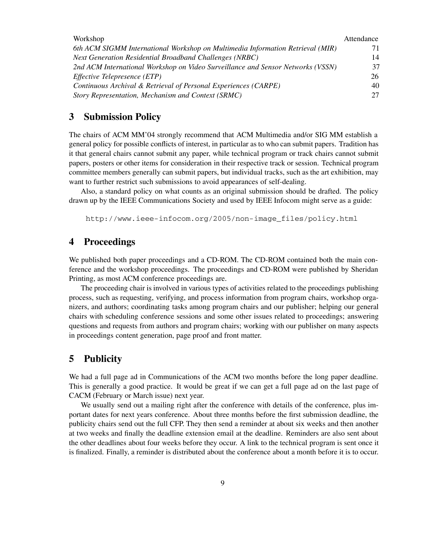| Workshop                                                                        | Attendance |
|---------------------------------------------------------------------------------|------------|
| 6th ACM SIGMM International Workshop on Multimedia Information Retrieval (MIR)  | 71         |
| <i>Next Generation Residential Broadband Challenges (NRBC)</i>                  | 14         |
| 2nd ACM International Workshop on Video Surveillance and Sensor Networks (VSSN) | 37         |
| <i>Effective Telepresence (ETP)</i>                                             | 26         |
| Continuous Archival & Retrieval of Personal Experiences (CARPE)                 | 40         |
| Story Representation, Mechanism and Context (SRMC)                              | 27         |

# **3 Submission Policy**

The chairs of ACM MM'04 strongly recommend that ACM Multimedia and/or SIG MM establish a general policy for possible conflicts of interest, in particular as to who can submit papers. Tradition has it that general chairs cannot submit any paper, while technical program or track chairs cannot submit papers, posters or other items for consideration in their respective track or session. Technical program committee members generally can submit papers, but individual tracks, such as the art exhibition, may want to further restrict such submissions to avoid appearances of self-dealing.

Also, a standard policy on what counts as an original submission should be drafted. The policy drawn up by the IEEE Communications Society and used by IEEE Infocom might serve as a guide:

http://www.ieee-infocom.org/2005/non-image\_files/policy.html

# **4 Proceedings**

We published both paper proceedings and a CD-ROM. The CD-ROM contained both the main conference and the workshop proceedings. The proceedings and CD-ROM were published by Sheridan Printing, as most ACM conference proceedings are.

The proceeding chair is involved in various types of activities related to the proceedings publishing process, such as requesting, verifying, and process information from program chairs, workshop organizers, and authors; coordinating tasks among program chairs and our publisher; helping our general chairs with scheduling conference sessions and some other issues related to proceedings; answering questions and requests from authors and program chairs; working with our publisher on many aspects in proceedings content generation, page proof and front matter.

# **5 Publicity**

We had a full page ad in Communications of the ACM two months before the long paper deadline. This is generally a good practice. It would be great if we can get a full page ad on the last page of CACM (February or March issue) next year.

We usually send out a mailing right after the conference with details of the conference, plus important dates for next years conference. About three months before the first submission deadline, the publicity chairs send out the full CFP. They then send a reminder at about six weeks and then another at two weeks and finally the deadline extension email at the deadline. Reminders are also sent about the other deadlines about four weeks before they occur. A link to the technical program is sent once it is finalized. Finally, a reminder is distributed about the conference about a month before it is to occur.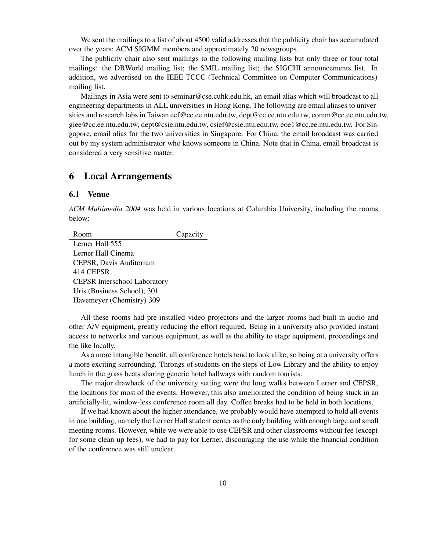We sent the mailings to a list of about 4500 valid addresses that the publicity chair has accumulated over the years; ACM SIGMM members and approximately 20 newsgroups.

The publicity chair also sent mailings to the following mailing lists but only three or four total mailings: the DBWorld mailing list; the SMIL mailing list; the SIGCHI announcements list. In addition, we advertised on the IEEE TCCC (Technical Committee on Computer Communications) mailing list.

Mailings in Asia were sent to seminar@cse.cuhk.edu.hk, an email alias which will broadcast to all engineering departments in ALL universities in Hong Kong, The following are email aliases to universities and research labs in Taiwan eef@cc.ee.ntu.edu.tw, dept@cc.ee.ntu.edu.tw, comm@cc.ee.ntu.edu.tw, giee@cc.ee.ntu.edu.tw, dept@csie.ntu.edu.tw, csief@csie.ntu.edu.tw, eoe1@cc.ee.ntu.edu.tw. For Singapore, email alias for the two universities in Singapore. For China, the email broadcast was carried out by my system administrator who knows someone in China. Note that in China, email broadcast is considered a very sensitive matter.

# **6 Local Arrangements**

#### **6.1 Venue**

*ACM Multimedia 2004* was held in various locations at Columbia University, including the rooms below:

| Room                                | Capacity |
|-------------------------------------|----------|
| Lerner Hall 555                     |          |
| Lerner Hall Cinema                  |          |
| CEPSR, Davis Auditorium             |          |
| 414 CEPSR                           |          |
| <b>CEPSR</b> Interschool Laboratory |          |
| Uris (Business School), 301         |          |
| Havemeyer (Chemistry) 309           |          |

All these rooms had pre-installed video projectors and the larger rooms had built-in audio and other A/V equipment, greatly reducing the effort required. Being in a university also provided instant access to networks and various equipment, as well as the ability to stage equipment, proceedings and the like locally.

As a more intangible benefit, all conference hotels tend to look alike, so being at a university offers a more exciting surrounding. Throngs of students on the steps of Low Library and the ability to enjoy lunch in the grass beats sharing generic hotel hallways with random tourists.

The major drawback of the university setting were the long walks between Lerner and CEPSR, the locations for most of the events. However, this also ameliorated the condition of being stuck in an artificially-lit, window-less conference room all day. Coffee breaks had to be held in both locations.

If we had known about the higher attendance, we probably would have attempted to hold all events in one building, namely the Lerner Hall student center as the only building with enough large and small meeting rooms. However, while we were able to use CEPSR and other classrooms without fee (except for some clean-up fees), we had to pay for Lerner, discouraging the use while the financial condition of the conference was still unclear.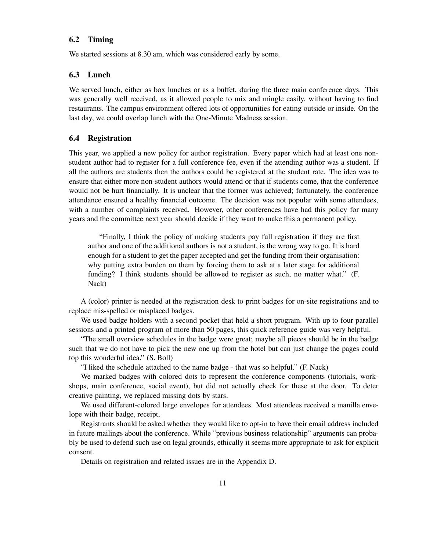### **6.2 Timing**

We started sessions at 8.30 am, which was considered early by some.

#### **6.3 Lunch**

We served lunch, either as box lunches or as a buffet, during the three main conference days. This was generally well received, as it allowed people to mix and mingle easily, without having to find restaurants. The campus environment offered lots of opportunities for eating outside or inside. On the last day, we could overlap lunch with the One-Minute Madness session.

#### **6.4 Registration**

This year, we applied a new policy for author registration. Every paper which had at least one nonstudent author had to register for a full conference fee, even if the attending author was a student. If all the authors are students then the authors could be registered at the student rate. The idea was to ensure that either more non-student authors would attend or that if students come, that the conference would not be hurt financially. It is unclear that the former was achieved; fortunately, the conference attendance ensured a healthy financial outcome. The decision was not popular with some attendees, with a number of complaints received. However, other conferences have had this policy for many years and the committee next year should decide if they want to make this a permanent policy.

"Finally, I think the policy of making students pay full registration if they are first author and one of the additional authors is not a student, is the wrong way to go. It is hard enough for a student to get the paper accepted and get the funding from their organisation: why putting extra burden on them by forcing them to ask at a later stage for additional funding? I think students should be allowed to register as such, no matter what." (F. Nack)

A (color) printer is needed at the registration desk to print badges for on-site registrations and to replace mis-spelled or misplaced badges.

We used badge holders with a second pocket that held a short program. With up to four parallel sessions and a printed program of more than 50 pages, this quick reference guide was very helpful.

"The small overview schedules in the badge were great; maybe all pieces should be in the badge such that we do not have to pick the new one up from the hotel but can just change the pages could top this wonderful idea." (S. Boll)

"I liked the schedule attached to the name badge - that was so helpful." (F. Nack)

We marked badges with colored dots to represent the conference components (tutorials, workshops, main conference, social event), but did not actually check for these at the door. To deter creative painting, we replaced missing dots by stars.

We used different-colored large envelopes for attendees. Most attendees received a manilla envelope with their badge, receipt,

Registrants should be asked whether they would like to opt-in to have their email address included in future mailings about the conference. While "previous business relationship" arguments can probably be used to defend such use on legal grounds, ethically it seems more appropriate to ask for explicit consent.

Details on registration and related issues are in the Appendix D.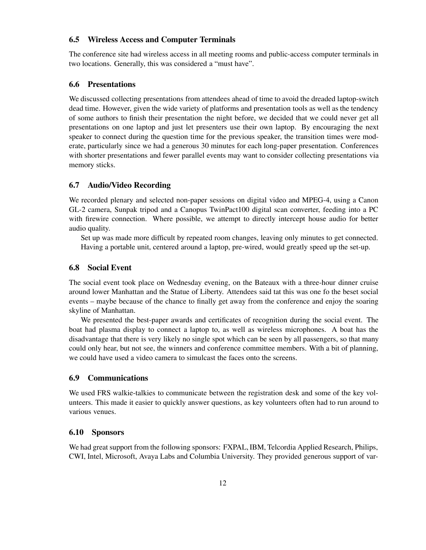### **6.5 Wireless Access and Computer Terminals**

The conference site had wireless access in all meeting rooms and public-access computer terminals in two locations. Generally, this was considered a "must have".

## **6.6 Presentations**

We discussed collecting presentations from attendees ahead of time to avoid the dreaded laptop-switch dead time. However, given the wide variety of platforms and presentation tools as well as the tendency of some authors to finish their presentation the night before, we decided that we could never get all presentations on one laptop and just let presenters use their own laptop. By encouraging the next speaker to connect during the question time for the previous speaker, the transition times were moderate, particularly since we had a generous 30 minutes for each long-paper presentation. Conferences with shorter presentations and fewer parallel events may want to consider collecting presentations via memory sticks.

#### **6.7 Audio/Video Recording**

We recorded plenary and selected non-paper sessions on digital video and MPEG-4, using a Canon GL-2 camera, Sunpak tripod and a Canopus TwinPact100 digital scan converter, feeding into a PC with firewire connection. Where possible, we attempt to directly intercept house audio for better audio quality.

Set up was made more difficult by repeated room changes, leaving only minutes to get connected. Having a portable unit, centered around a laptop, pre-wired, would greatly speed up the set-up.

## **6.8 Social Event**

The social event took place on Wednesday evening, on the Bateaux with a three-hour dinner cruise around lower Manhattan and the Statue of Liberty. Attendees said tat this was one fo the beset social events – maybe because of the chance to finally get away from the conference and enjoy the soaring skyline of Manhattan.

We presented the best-paper awards and certificates of recognition during the social event. The boat had plasma display to connect a laptop to, as well as wireless microphones. A boat has the disadvantage that there is very likely no single spot which can be seen by all passengers, so that many could only hear, but not see, the winners and conference committee members. With a bit of planning, we could have used a video camera to simulcast the faces onto the screens.

## **6.9 Communications**

We used FRS walkie-talkies to communicate between the registration desk and some of the key volunteers. This made it easier to quickly answer questions, as key volunteers often had to run around to various venues.

#### **6.10 Sponsors**

We had great support from the following sponsors: FXPAL, IBM, Telcordia Applied Research, Philips, CWI, Intel, Microsoft, Avaya Labs and Columbia University. They provided generous support of var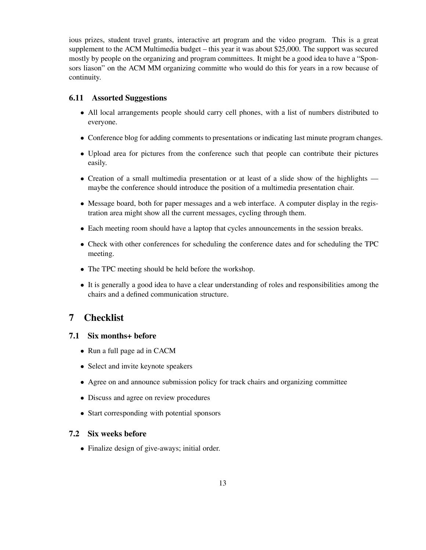ious prizes, student travel grants, interactive art program and the video program. This is a great supplement to the ACM Multimedia budget – this year it was about \$25,000. The support was secured mostly by people on the organizing and program committees. It might be a good idea to have a "Sponsors liason" on the ACM MM organizing committe who would do this for years in a row because of continuity.

# **6.11 Assorted Suggestions**

- All local arrangements people should carry cell phones, with a list of numbers distributed to everyone.
- Conference blog for adding comments to presentations or indicating last minute program changes.
- Upload area for pictures from the conference such that people can contribute their pictures easily.
- Creation of a small multimedia presentation or at least of a slide show of the highlights maybe the conference should introduce the position of a multimedia presentation chair.
- Message board, both for paper messages and a web interface. A computer display in the registration area might show all the current messages, cycling through them.
- Each meeting room should have a laptop that cycles announcements in the session breaks.
- Check with other conferences for scheduling the conference dates and for scheduling the TPC meeting.
- The TPC meeting should be held before the workshop.
- It is generally a good idea to have a clear understanding of roles and responsibilities among the chairs and a defined communication structure.

# **7 Checklist**

# **7.1 Six months+ before**

- Run a full page ad in CACM
- Select and invite keynote speakers
- Agree on and announce submission policy for track chairs and organizing committee
- Discuss and agree on review procedures
- Start corresponding with potential sponsors

## **7.2 Six weeks before**

• Finalize design of give-aways; initial order.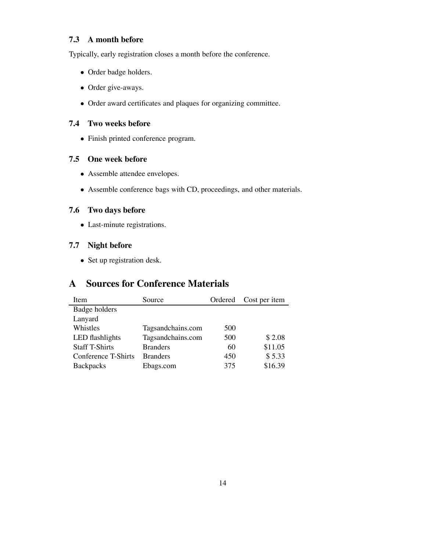# **7.3 A month before**

Typically, early registration closes a month before the conference.

- Order badge holders.
- Order give-aways.
- Order award certificates and plaques for organizing committee.

# **7.4 Two weeks before**

• Finish printed conference program.

# **7.5 One week before**

- Assemble attendee envelopes.
- Assemble conference bags with CD, proceedings, and other materials.

# **7.6 Two days before**

• Last-minute registrations.

# **7.7 Night before**

• Set up registration desk.

# **A Sources for Conference Materials**

| <b>Item</b>           | Source            | Ordered | Cost per item |
|-----------------------|-------------------|---------|---------------|
| Badge holders         |                   |         |               |
| Lanyard               |                   |         |               |
| Whistles              | Tagsandchains.com | 500     |               |
| LED flashlights       | Tagsandchains.com | 500     | \$2.08        |
| <b>Staff T-Shirts</b> | <b>Branders</b>   | 60      | \$11.05       |
| Conference T-Shirts   | <b>Branders</b>   | 450     | \$5.33        |
| <b>Backpacks</b>      | Ebags.com         | 375     | \$16.39       |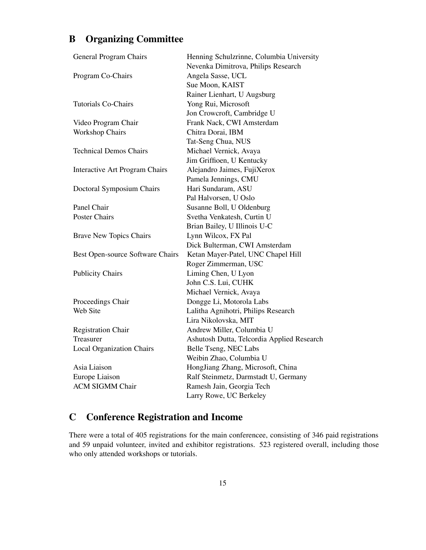# **B Organizing Committee**

| General Program Chairs           | Henning Schulzrinne, Columbia University   |
|----------------------------------|--------------------------------------------|
|                                  | Nevenka Dimitrova, Philips Research        |
| Program Co-Chairs                | Angela Sasse, UCL                          |
|                                  | Sue Moon, KAIST                            |
|                                  | Rainer Lienhart, U Augsburg                |
| <b>Tutorials Co-Chairs</b>       | Yong Rui, Microsoft                        |
|                                  | Jon Crowcroft, Cambridge U                 |
| Video Program Chair              | Frank Nack, CWI Amsterdam                  |
| <b>Workshop Chairs</b>           | Chitra Dorai, IBM                          |
|                                  | Tat-Seng Chua, NUS                         |
| <b>Technical Demos Chairs</b>    | Michael Vernick, Avaya                     |
|                                  | Jim Griffioen, U Kentucky                  |
| Interactive Art Program Chairs   | Alejandro Jaimes, FujiXerox                |
|                                  | Pamela Jennings, CMU                       |
| Doctoral Symposium Chairs        | Hari Sundaram, ASU                         |
|                                  | Pal Halvorsen, U Oslo                      |
| Panel Chair                      | Susanne Boll, U Oldenburg                  |
| <b>Poster Chairs</b>             | Svetha Venkatesh, Curtin U                 |
|                                  | Brian Bailey, U Illinois U-C               |
| <b>Brave New Topics Chairs</b>   | Lynn Wilcox, FX Pal                        |
|                                  | Dick Bulterman, CWI Amsterdam              |
| Best Open-source Software Chairs | Ketan Mayer-Patel, UNC Chapel Hill         |
|                                  | Roger Zimmerman, USC                       |
| <b>Publicity Chairs</b>          | Liming Chen, U Lyon                        |
|                                  | John C.S. Lui, CUHK                        |
|                                  | Michael Vernick, Avaya                     |
| Proceedings Chair                | Dongge Li, Motorola Labs                   |
| Web Site                         | Lalitha Agnihotri, Philips Research        |
|                                  | Lira Nikolovska, MIT                       |
| <b>Registration Chair</b>        | Andrew Miller, Columbia U                  |
| Treasurer                        | Ashutosh Dutta, Telcordia Applied Research |
| <b>Local Organization Chairs</b> | Belle Tseng, NEC Labs                      |
|                                  | Weibin Zhao, Columbia U                    |
| Asia Liaison                     | HongJiang Zhang, Microsoft, China          |
| Europe Liaison                   | Ralf Steinmetz, Darmstadt U, Germany       |
| <b>ACM SIGMM Chair</b>           | Ramesh Jain, Georgia Tech                  |
|                                  | Larry Rowe, UC Berkeley                    |

# **C Conference Registration and Income**

There were a total of 405 registrations for the main conferencee, consisting of 346 paid registrations and 59 unpaid volunteer, invited and exhibitor registrations. 523 registered overall, including those who only attended workshops or tutorials.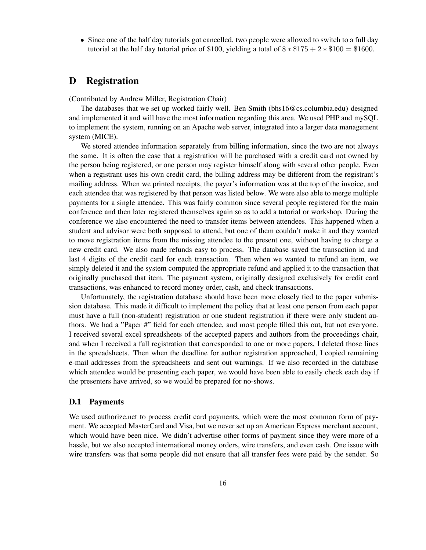• Since one of the half day tutorials got cancelled, two people were allowed to switch to a full day tutorial at the half day tutorial price of \$100, yielding a total of  $8 * \$175 + 2 * \$100 = \$1600$ .

# **D Registration**

(Contributed by Andrew Miller, Registration Chair)

The databases that we set up worked fairly well. Ben Smith (bhs16@cs.columbia.edu) designed and implemented it and will have the most information regarding this area. We used PHP and mySQL to implement the system, running on an Apache web server, integrated into a larger data management system (MICE).

We stored attendee information separately from billing information, since the two are not always the same. It is often the case that a registration will be purchased with a credit card not owned by the person being registered, or one person may register himself along with several other people. Even when a registrant uses his own credit card, the billing address may be different from the registrant's mailing address. When we printed receipts, the payer's information was at the top of the invoice, and each attendee that was registered by that person was listed below. We were also able to merge multiple payments for a single attendee. This was fairly common since several people registered for the main conference and then later registered themselves again so as to add a tutorial or workshop. During the conference we also encountered the need to transfer items between attendees. This happened when a student and advisor were both supposed to attend, but one of them couldn't make it and they wanted to move registration items from the missing attendee to the present one, without having to charge a new credit card. We also made refunds easy to process. The database saved the transaction id and last 4 digits of the credit card for each transaction. Then when we wanted to refund an item, we simply deleted it and the system computed the appropriate refund and applied it to the transaction that originally purchased that item. The payment system, originally designed exclusively for credit card transactions, was enhanced to record money order, cash, and check transactions.

Unfortunately, the registration database should have been more closely tied to the paper submission database. This made it difficult to implement the policy that at least one person from each paper must have a full (non-student) registration or one student registration if there were only student authors. We had a "Paper #" field for each attendee, and most people filled this out, but not everyone. I received several excel spreadsheets of the accepted papers and authors from the proceedings chair, and when I received a full registration that corresponded to one or more papers, I deleted those lines in the spreadsheets. Then when the deadline for author registration approached, I copied remaining e-mail addresses from the spreadsheets and sent out warnings. If we also recorded in the database which attendee would be presenting each paper, we would have been able to easily check each day if the presenters have arrived, so we would be prepared for no-shows.

## **D.1 Payments**

We used authorize.net to process credit card payments, which were the most common form of payment. We accepted MasterCard and Visa, but we never set up an American Express merchant account, which would have been nice. We didn't advertise other forms of payment since they were more of a hassle, but we also accepted international money orders, wire transfers, and even cash. One issue with wire transfers was that some people did not ensure that all transfer fees were paid by the sender. So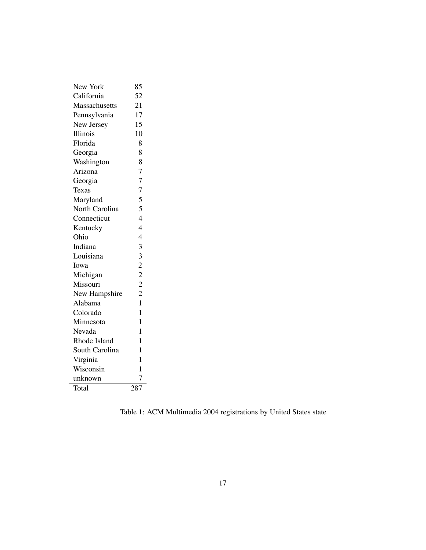| New York       | 85                                    |
|----------------|---------------------------------------|
| California     | 52                                    |
| Massachusetts  | 21                                    |
| Pennsylvania   | 17                                    |
| New Jersey     | 15                                    |
| Illinois       | 10                                    |
| Florida        | 8                                     |
| Georgia        | 8                                     |
| Washington     | 8                                     |
| Arizona        | $\overline{7}$                        |
| Georgia        | $\overline{7}$                        |
| Texas          |                                       |
| Maryland       | $\begin{array}{c} 7 \\ 5 \end{array}$ |
| North Carolina | $\overline{5}$                        |
| Connecticut    | $\overline{4}$                        |
| Kentucky       | $\overline{4}$                        |
| Ohio           | $\overline{4}$                        |
| Indiana        | $\overline{\mathbf{3}}$               |
| Louisiana      | $\frac{3}{2}$                         |
| Iowa           |                                       |
| Michigan       | $\overline{c}$                        |
| Missouri       | $\overline{c}$                        |
| New Hampshire  | $\overline{2}$                        |
| Alabama        | 1                                     |
| Colorado       | 1                                     |
| Minnesota      | 1                                     |
| Nevada         | 1                                     |
| Rhode Island   | 1                                     |
| South Carolina | 1                                     |
| Virginia       | 1                                     |
| Wisconsin      | 1                                     |
| unknown        |                                       |
| Total          | 287                                   |

Table 1: ACM Multimedia 2004 registrations by United States state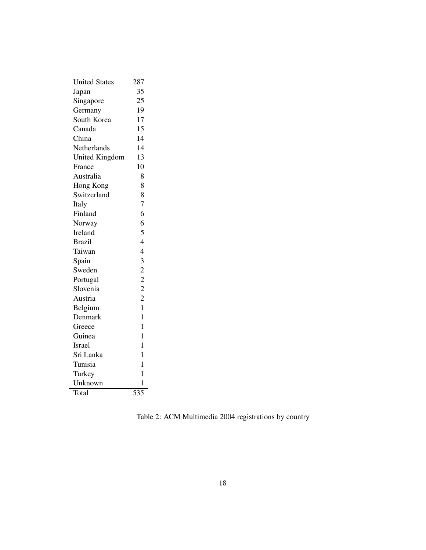| <b>United States</b>  | 287                     |
|-----------------------|-------------------------|
| Japan                 | 35                      |
| Singapore             | 25                      |
| Germany               | 19                      |
| South Korea           | 17                      |
| Canada                | 15                      |
| China                 | 14                      |
| Netherlands           | 14                      |
| <b>United Kingdom</b> | 13                      |
| France                | 10                      |
| Australia             | 8                       |
| Hong Kong             | 8                       |
| Switzerland           | 8                       |
| Italy                 | $\overline{7}$          |
| Finland               | 6                       |
| Norway                | 6                       |
| Ireland               | 5                       |
| <b>Brazil</b>         | $\overline{4}$          |
| Taiwan                | $\overline{4}$          |
| Spain                 | $\overline{\mathbf{3}}$ |
| Sweden                | $\overline{c}$          |
| Portugal              | $\overline{c}$          |
| Slovenia              | $\overline{c}$          |
| Austria               | $\overline{c}$          |
| Belgium               | $\mathbf{1}$            |
| Denmark               | $\overline{1}$          |
| Greece                | $\mathbf{1}$            |
| Guinea                | $\mathbf{1}$            |
| Israel                | $\mathbf{1}$            |
| Sri Lanka             | $\overline{1}$          |
| Tunisia               | $\mathbf{1}$            |
| Turkey                | 1                       |
| Unknown               | 1                       |
| Total                 | 535                     |

Table 2: ACM Multimedia 2004 registrations by country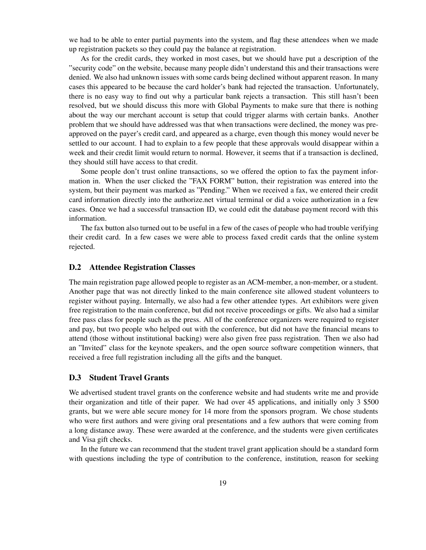we had to be able to enter partial payments into the system, and flag these attendees when we made up registration packets so they could pay the balance at registration.

As for the credit cards, they worked in most cases, but we should have put a description of the "security code" on the website, because many people didn't understand this and their transactions were denied. We also had unknown issues with some cards being declined without apparent reason. In many cases this appeared to be because the card holder's bank had rejected the transaction. Unfortunately, there is no easy way to find out why a particular bank rejects a transaction. This still hasn't been resolved, but we should discuss this more with Global Payments to make sure that there is nothing about the way our merchant account is setup that could trigger alarms with certain banks. Another problem that we should have addressed was that when transactions were declined, the money was preapproved on the payer's credit card, and appeared as a charge, even though this money would never be settled to our account. I had to explain to a few people that these approvals would disappear within a week and their credit limit would return to normal. However, it seems that if a transaction is declined, they should still have access to that credit.

Some people don't trust online transactions, so we offered the option to fax the payment information in. When the user clicked the "FAX FORM" button, their registration was entered into the system, but their payment was marked as "Pending." When we received a fax, we entered their credit card information directly into the authorize.net virtual terminal or did a voice authorization in a few cases. Once we had a successful transaction ID, we could edit the database payment record with this information.

The fax button also turned out to be useful in a few of the cases of people who had trouble verifying their credit card. In a few cases we were able to process faxed credit cards that the online system rejected.

### **D.2 Attendee Registration Classes**

The main registration page allowed people to register as an ACM-member, a non-member, or a student. Another page that was not directly linked to the main conference site allowed student volunteers to register without paying. Internally, we also had a few other attendee types. Art exhibitors were given free registration to the main conference, but did not receive proceedings or gifts. We also had a similar free pass class for people such as the press. All of the conference organizers were required to register and pay, but two people who helped out with the conference, but did not have the financial means to attend (those without institutional backing) were also given free pass registration. Then we also had an "Invited" class for the keynote speakers, and the open source software competition winners, that received a free full registration including all the gifts and the banquet.

# **D.3 Student Travel Grants**

We advertised student travel grants on the conference website and had students write me and provide their organization and title of their paper. We had over 45 applications, and initially only 3 \$500 grants, but we were able secure money for 14 more from the sponsors program. We chose students who were first authors and were giving oral presentations and a few authors that were coming from a long distance away. These were awarded at the conference, and the students were given certificates and Visa gift checks.

In the future we can recommend that the student travel grant application should be a standard form with questions including the type of contribution to the conference, institution, reason for seeking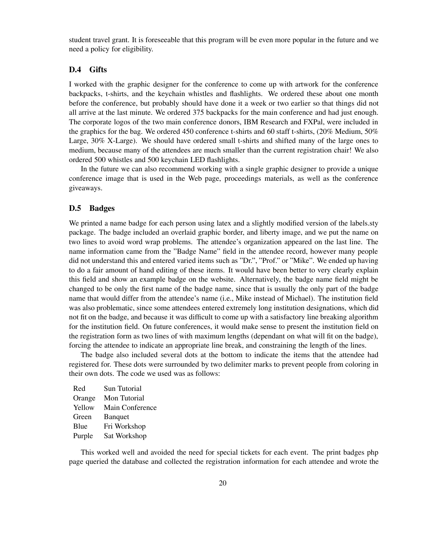student travel grant. It is foreseeable that this program will be even more popular in the future and we need a policy for eligibility.

## **D.4 Gifts**

I worked with the graphic designer for the conference to come up with artwork for the conference backpacks, t-shirts, and the keychain whistles and flashlights. We ordered these about one month before the conference, but probably should have done it a week or two earlier so that things did not all arrive at the last minute. We ordered 375 backpacks for the main conference and had just enough. The corporate logos of the two main conference donors, IBM Research and FXPal, were included in the graphics for the bag. We ordered 450 conference t-shirts and 60 staff t-shirts, (20% Medium, 50% Large, 30% X-Large). We should have ordered small t-shirts and shifted many of the large ones to medium, because many of the attendees are much smaller than the current registration chair! We also ordered 500 whistles and 500 keychain LED flashlights.

In the future we can also recommend working with a single graphic designer to provide a unique conference image that is used in the Web page, proceedings materials, as well as the conference giveaways.

#### **D.5 Badges**

We printed a name badge for each person using latex and a slightly modified version of the labels.sty package. The badge included an overlaid graphic border, and liberty image, and we put the name on two lines to avoid word wrap problems. The attendee's organization appeared on the last line. The name information came from the "Badge Name" field in the attendee record, however many people did not understand this and entered varied items such as "Dr.", "Prof." or "Mike". We ended up having to do a fair amount of hand editing of these items. It would have been better to very clearly explain this field and show an example badge on the website. Alternatively, the badge name field might be changed to be only the first name of the badge name, since that is usually the only part of the badge name that would differ from the attendee's name (i.e., Mike instead of Michael). The institution field was also problematic, since some attendees entered extremely long institution designations, which did not fit on the badge, and because it was difficult to come up with a satisfactory line breaking algorithm for the institution field. On future conferences, it would make sense to present the institution field on the registration form as two lines of with maximum lengths (dependant on what will fit on the badge), forcing the attendee to indicate an appropriate line break, and constraining the length of the lines.

The badge also included several dots at the bottom to indicate the items that the attendee had registered for. These dots were surrounded by two delimiter marks to prevent people from coloring in their own dots. The code we used was as follows:

| Red    | Sun Tutorial    |
|--------|-----------------|
| Orange | Mon Tutorial    |
| Yellow | Main Conference |
| Green  | <b>Banquet</b>  |
| Blue   | Fri Workshop    |
| Purple | Sat Workshop    |

This worked well and avoided the need for special tickets for each event. The print badges php page queried the database and collected the registration information for each attendee and wrote the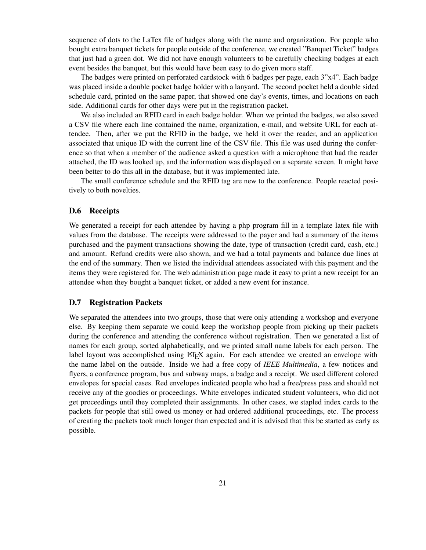sequence of dots to the LaTex file of badges along with the name and organization. For people who bought extra banquet tickets for people outside of the conference, we created "Banquet Ticket" badges that just had a green dot. We did not have enough volunteers to be carefully checking badges at each event besides the banquet, but this would have been easy to do given more staff.

The badges were printed on perforated cardstock with 6 badges per page, each 3"x4". Each badge was placed inside a double pocket badge holder with a lanyard. The second pocket held a double sided schedule card, printed on the same paper, that showed one day's events, times, and locations on each side. Additional cards for other days were put in the registration packet.

We also included an RFID card in each badge holder. When we printed the badges, we also saved a CSV file where each line contained the name, organization, e-mail, and website URL for each attendee. Then, after we put the RFID in the badge, we held it over the reader, and an application associated that unique ID with the current line of the CSV file. This file was used during the conference so that when a member of the audience asked a question with a microphone that had the reader attached, the ID was looked up, and the information was displayed on a separate screen. It might have been better to do this all in the database, but it was implemented late.

The small conference schedule and the RFID tag are new to the conference. People reacted positively to both novelties.

### **D.6 Receipts**

We generated a receipt for each attendee by having a php program fill in a template latex file with values from the database. The receipts were addressed to the payer and had a summary of the items purchased and the payment transactions showing the date, type of transaction (credit card, cash, etc.) and amount. Refund credits were also shown, and we had a total payments and balance due lines at the end of the summary. Then we listed the individual attendees associated with this payment and the items they were registered for. The web administration page made it easy to print a new receipt for an attendee when they bought a banquet ticket, or added a new event for instance.

### **D.7 Registration Packets**

We separated the attendees into two groups, those that were only attending a workshop and everyone else. By keeping them separate we could keep the workshop people from picking up their packets during the conference and attending the conference without registration. Then we generated a list of names for each group, sorted alphabetically, and we printed small name labels for each person. The label layout was accomplished using  $E$ F<sub>F</sub>X again. For each attendee we created an envelope with the name label on the outside. Inside we had a free copy of *IEEE Multimedia*, a few notices and flyers, a conference program, bus and subway maps, a badge and a receipt. We used different colored envelopes for special cases. Red envelopes indicated people who had a free/press pass and should not receive any of the goodies or proceedings. White envelopes indicated student volunteers, who did not get proceedings until they completed their assignments. In other cases, we stapled index cards to the packets for people that still owed us money or had ordered additional proceedings, etc. The process of creating the packets took much longer than expected and it is advised that this be started as early as possible.